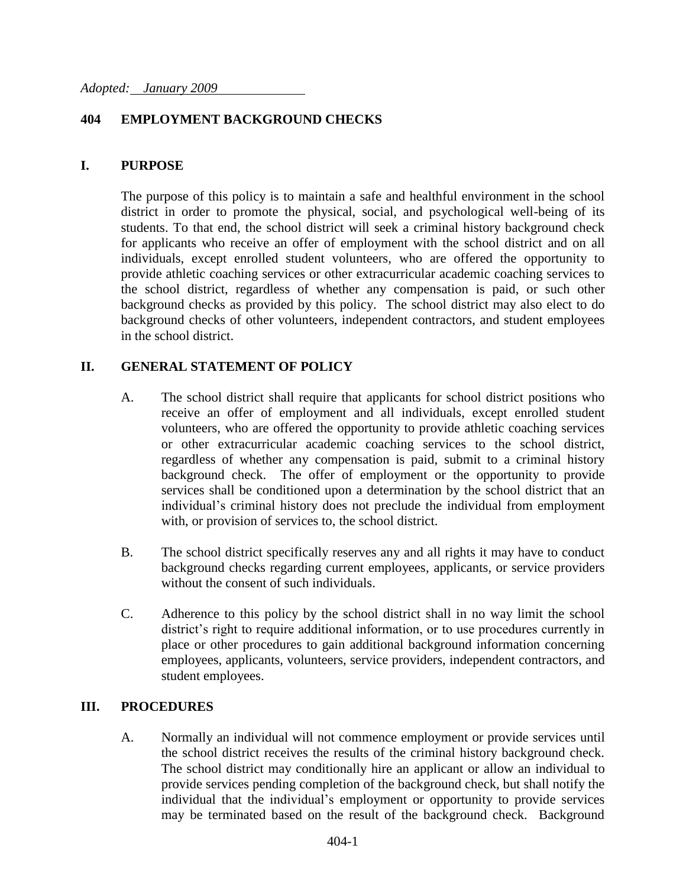### **404 EMPLOYMENT BACKGROUND CHECKS**

#### **I. PURPOSE**

The purpose of this policy is to maintain a safe and healthful environment in the school district in order to promote the physical, social, and psychological well-being of its students. To that end, the school district will seek a criminal history background check for applicants who receive an offer of employment with the school district and on all individuals, except enrolled student volunteers, who are offered the opportunity to provide athletic coaching services or other extracurricular academic coaching services to the school district, regardless of whether any compensation is paid, or such other background checks as provided by this policy. The school district may also elect to do background checks of other volunteers, independent contractors, and student employees in the school district.

## **II. GENERAL STATEMENT OF POLICY**

- A. The school district shall require that applicants for school district positions who receive an offer of employment and all individuals, except enrolled student volunteers, who are offered the opportunity to provide athletic coaching services or other extracurricular academic coaching services to the school district, regardless of whether any compensation is paid, submit to a criminal history background check. The offer of employment or the opportunity to provide services shall be conditioned upon a determination by the school district that an individual's criminal history does not preclude the individual from employment with, or provision of services to, the school district.
- B. The school district specifically reserves any and all rights it may have to conduct background checks regarding current employees, applicants, or service providers without the consent of such individuals.
- C. Adherence to this policy by the school district shall in no way limit the school district's right to require additional information, or to use procedures currently in place or other procedures to gain additional background information concerning employees, applicants, volunteers, service providers, independent contractors, and student employees.

#### **III. PROCEDURES**

A. Normally an individual will not commence employment or provide services until the school district receives the results of the criminal history background check. The school district may conditionally hire an applicant or allow an individual to provide services pending completion of the background check, but shall notify the individual that the individual's employment or opportunity to provide services may be terminated based on the result of the background check. Background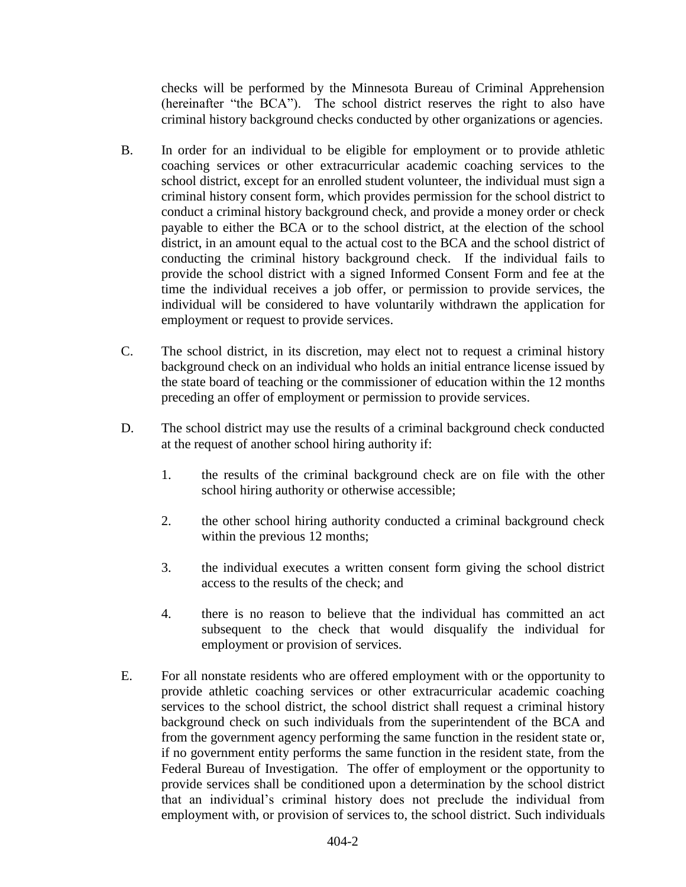checks will be performed by the Minnesota Bureau of Criminal Apprehension (hereinafter "the BCA"). The school district reserves the right to also have criminal history background checks conducted by other organizations or agencies.

- B. In order for an individual to be eligible for employment or to provide athletic coaching services or other extracurricular academic coaching services to the school district, except for an enrolled student volunteer, the individual must sign a criminal history consent form, which provides permission for the school district to conduct a criminal history background check, and provide a money order or check payable to either the BCA or to the school district, at the election of the school district, in an amount equal to the actual cost to the BCA and the school district of conducting the criminal history background check. If the individual fails to provide the school district with a signed Informed Consent Form and fee at the time the individual receives a job offer, or permission to provide services, the individual will be considered to have voluntarily withdrawn the application for employment or request to provide services.
- C. The school district, in its discretion, may elect not to request a criminal history background check on an individual who holds an initial entrance license issued by the state board of teaching or the commissioner of education within the 12 months preceding an offer of employment or permission to provide services.
- D. The school district may use the results of a criminal background check conducted at the request of another school hiring authority if:
	- 1. the results of the criminal background check are on file with the other school hiring authority or otherwise accessible;
	- 2. the other school hiring authority conducted a criminal background check within the previous 12 months;
	- 3. the individual executes a written consent form giving the school district access to the results of the check; and
	- 4. there is no reason to believe that the individual has committed an act subsequent to the check that would disqualify the individual for employment or provision of services.
- E. For all nonstate residents who are offered employment with or the opportunity to provide athletic coaching services or other extracurricular academic coaching services to the school district, the school district shall request a criminal history background check on such individuals from the superintendent of the BCA and from the government agency performing the same function in the resident state or, if no government entity performs the same function in the resident state, from the Federal Bureau of Investigation. The offer of employment or the opportunity to provide services shall be conditioned upon a determination by the school district that an individual's criminal history does not preclude the individual from employment with, or provision of services to, the school district. Such individuals